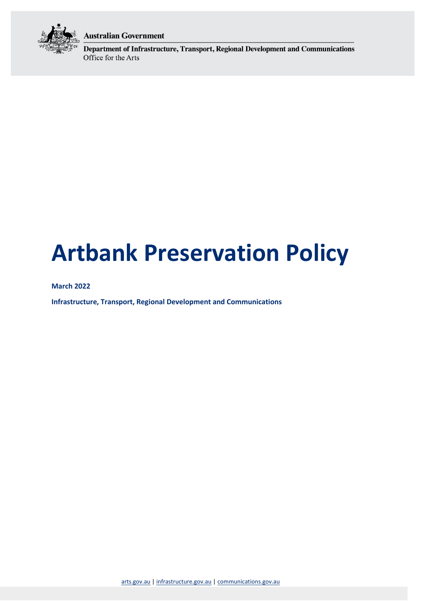

### **Australian Government**

Department of Infrastructure, Transport, Regional Development and Communications Office for the Arts

# <span id="page-0-0"></span>**Artbank Preservation Policy**

#### **March 2022**

**Infrastructure, Transport, Regional Development and Communications**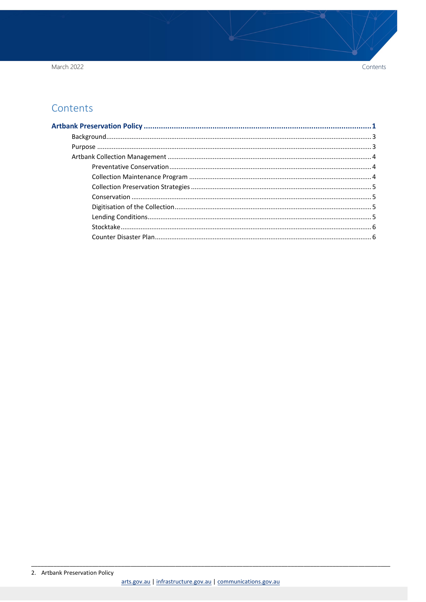March 2022

## Contents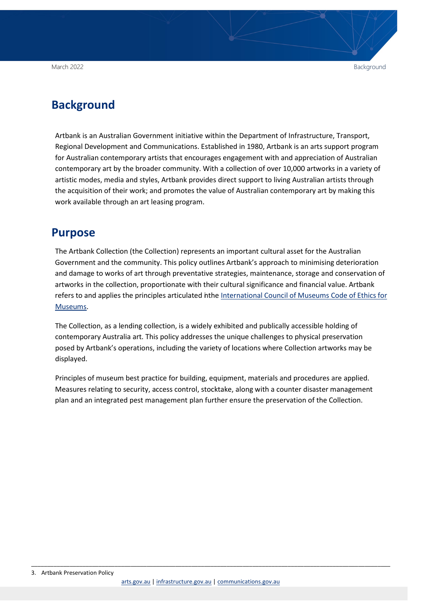## <span id="page-2-0"></span>**Background**

Artbank is an Australian Government initiative within the Department of Infrastructure, Transport, Regional Development and Communications. Established in 1980, Artbank is an arts support program for Australian contemporary artists that encourages engagement with and appreciation of Australian contemporary art by the broader community. With a collection of over 10,000 artworks in a variety of artistic modes, media and styles, Artbank provides direct support to living Australian artists through the acquisition of their work; and promotes the value of Australian contemporary art by making this work available through an art leasing program.

#### <span id="page-2-1"></span>**Purpose**

The Artbank Collection (the Collection) represents an important cultural asset for the Australian Government and the community. This policy outlines Artbank's approach to minimising deterioration and damage to works of art through preventative strategies, maintenance, storage and conservation of artworks in the collection, proportionate with their cultural significance and financial value. Artbank refers to and applies the principles articulated inthe [International Council](https://icom.museum/en/resources/standards-guidelines/code-of-ethics/) of Museums Code of Ethics for [Museums.](https://icom.museum/en/resources/standards-guidelines/code-of-ethics/)

The Collection, as a lending collection, is a widely exhibited and publically accessible holding of contemporary Australia art. This policy addresses the unique challenges to physical preservation posed by Artbank's operations, including the variety of locations where Collection artworks may be displayed.

Principles of museum best practice for building, equipment, materials and procedures are applied. Measures relating to security, access control, stocktake, along with a counter disaster management plan and an integrated pest management plan further ensure the preservation of the Collection.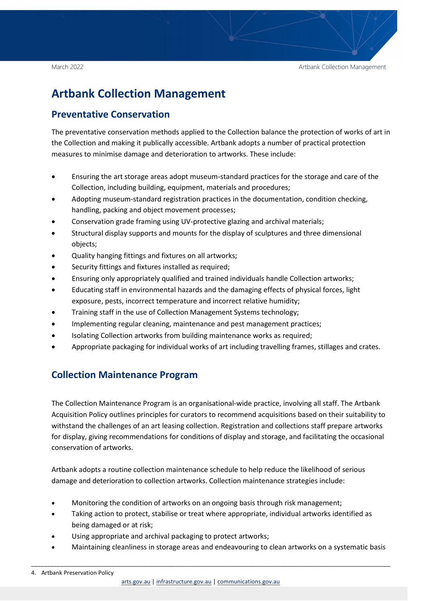## <span id="page-3-0"></span>**Artbank Collection Management**

#### <span id="page-3-1"></span>**Preventative Conservation**

The preventative conservation methods applied to the Collection balance the protection of works of art in the Collection and making it publically accessible. Artbank adopts a number of practical protection measures to minimise damage and deterioration to artworks. These include:

- Ensuring the art storage areas adopt museum-standard practices for the storage and care of the Collection, including building, equipment, materials and procedures;
- Adopting museum-standard registration practices in the documentation, condition checking, handling, packing and object movement processes;
- Conservation grade framing using UV-protective glazing and archival materials;
- Structural display supports and mounts for the display of sculptures and three dimensional objects;
- Quality hanging fittings and fixtures on all artworks;
- Security fittings and fixtures installed as required;
- Ensuring only appropriately qualified and trained individuals handle Collection artworks;
- Educating staff in environmental hazards and the damaging effects of physical forces, light exposure, pests, incorrect temperature and incorrect relative humidity;
- Training staff in the use of Collection Management Systems technology;
- Implementing regular cleaning, maintenance and pest management practices;
- Isolating Collection artworks from building maintenance works as required;
- Appropriate packaging for individual works of art including travelling frames, stillages and crates.

#### <span id="page-3-2"></span>**Collection Maintenance Program**

The Collection Maintenance Program is an organisational-wide practice, involving all staff. The Artbank Acquisition Policy outlines principles for curators to recommend acquisitions based on their suitability to withstand the challenges of an art leasing collection. Registration and collections staff prepare artworks for display, giving recommendations for conditions of display and storage, and facilitating the occasional conservation of artworks.

Artbank adopts a routine collection maintenance schedule to help reduce the likelihood of serious damage and deterioration to collection artworks. Collection maintenance strategies include:

- Monitoring the condition of artworks on an ongoing basis through risk management;
- Taking action to protect, stabilise or treat where appropriate, individual artworks identified as being damaged or at risk;

- Using appropriate and archival packaging to protect artworks;
- Maintaining cleanliness in storage areas and endeavouring to clean artworks on a systematic basis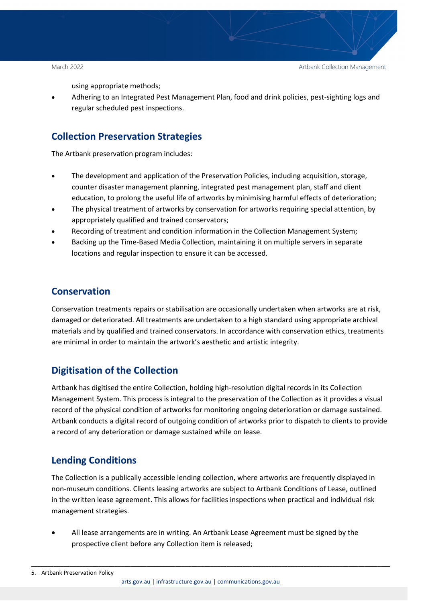using appropriate methods;

• Adhering to an Integrated Pest Management Plan, food and drink policies, pest-sighting logs and regular scheduled pest inspections.

#### <span id="page-4-0"></span>**Collection Preservation Strategies**

The Artbank preservation program includes:

- The development and application of the Preservation Policies, including acquisition, storage, counter disaster management planning, integrated pest management plan, staff and client education, to prolong the useful life of artworks by minimising harmful effects of deterioration;
- The physical treatment of artworks by conservation for artworks requiring special attention, by appropriately qualified and trained conservators;
- Recording of treatment and condition information in the Collection Management System;
- Backing up the Time-Based Media Collection, maintaining it on multiple servers in separate locations and regular inspection to ensure it can be accessed.

#### <span id="page-4-1"></span>**Conservation**

Conservation treatments repairs or stabilisation are occasionally undertaken when artworks are at risk, damaged or deteriorated. All treatments are undertaken to a high standard using appropriate archival materials and by qualified and trained conservators. In accordance with conservation ethics, treatments are minimal in order to maintain the artwork's aesthetic and artistic integrity.

#### <span id="page-4-2"></span>**Digitisation of the Collection**

Artbank has digitised the entire Collection, holding high-resolution digital records in its Collection Management System. This process is integral to the preservation of the Collection as it provides a visual record of the physical condition of artworks for monitoring ongoing deterioration or damage sustained. Artbank conducts a digital record of outgoing condition of artworks prior to dispatch to clients to provide a record of any deterioration or damage sustained while on lease.

#### <span id="page-4-3"></span>**Lending Conditions**

The Collection is a publically accessible lending collection, where artworks are frequently displayed in non-museum conditions. Clients leasing artworks are subject to Artbank Conditions of Lease, outlined in the written lease agreement. This allows for facilities inspections when practical and individual risk management strategies.

• All lease arrangements are in writing. An Artbank Lease Agreement must be signed by the prospective client before any Collection item is released;